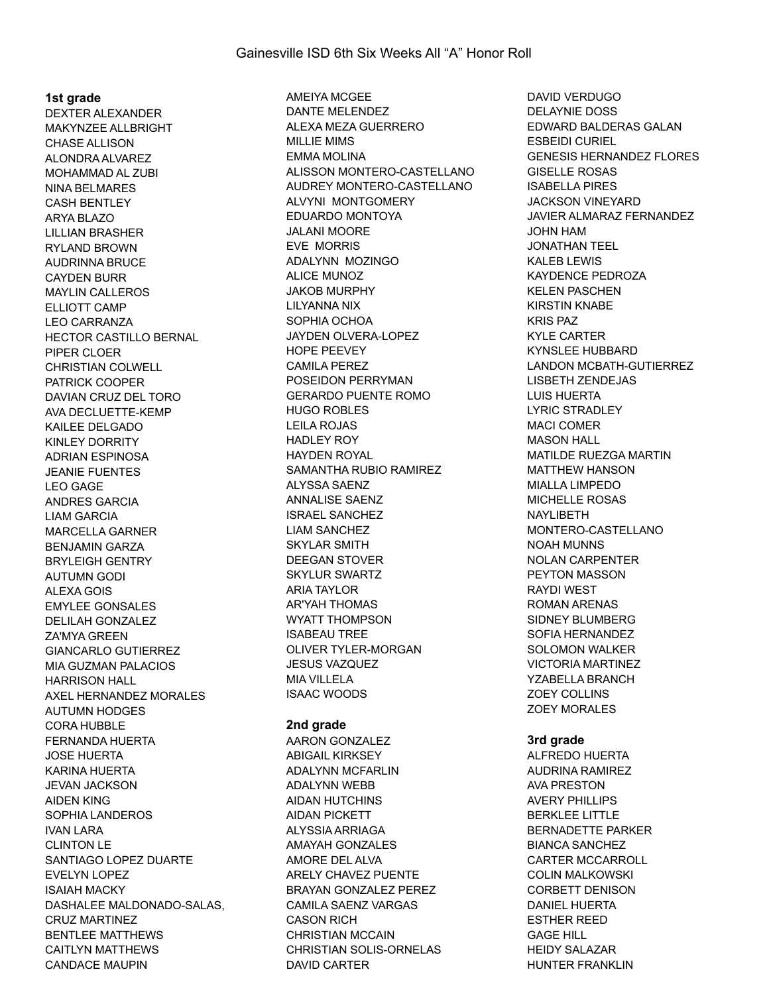#### **1st grade**

DEXTER ALEXANDER MAKYNZEE ALLBRIGHT CHASE ALLISON ALONDRA ALVAREZ MOHAMMAD AL ZUBI NINA BELMARES CASH BENTLEY ARYA BLAZO LILLIAN BRASHER RYLAND BROWN AUDRINNA BRUCE CAYDEN BURR MAYLIN CALLEROS ELLIOTT CAMP LEO CARRANZA HECTOR CASTILLO BERNAL PIPER CLOER CHRISTIAN COLWELL PATRICK COOPER DAVIAN CRUZ DEL TORO AVA DECLUETTE-KEMP KAILEE DELGADO KINLEY DORRITY ADRIAN ESPINOSA JEANIE FUENTES LEO GAGE ANDRES GARCIA LIAM GARCIA MARCELLA GARNER BENJAMIN GARZA BRYLEIGH GENTRY AUTUMN GODI ALEXA GOIS EMYLEE GONSALES DELILAH GONZALEZ ZA'MYA GREEN GIANCARLO GUTIERREZ MIA GUZMAN PALACIOS HARRISON HALL AXEL HERNANDEZ MORALES AUTUMN HODGES CORA HUBBLE FERNANDA HUERTA JOSE HUERTA KARINA HUERTA JEVAN JACKSON AIDEN KING SOPHIA LANDEROS IVAN LARA CLINTON LE SANTIAGO LOPEZ DUARTE EVELYN LOPEZ ISAIAH MACKY DASHALEE MALDONADO-SALAS, CRUZ MARTINEZ BENTLEE MATTHEWS CAITLYN MATTHEWS CANDACE MAUPIN

AMEIYA MCGEE DANTE MELENDEZ ALEXA MEZA GUERRERO MILLIE MIMS EMMA MOLINA ALISSON MONTERO-CASTELLANO AUDREY MONTERO-CASTELLANO ALVYNI MONTGOMERY EDUARDO MONTOYA JALANI MOORE EVE MORRIS ADALYNN MOZINGO ALICE MUNOZ JAKOB MURPHY LILYANNA NIX SOPHIA OCHOA JAYDEN OLVERA-LOPEZ HOPE PEEVEY CAMILA PEREZ POSEIDON PERRYMAN GERARDO PUENTE ROMO HUGO ROBLES LEILA ROJAS HADLEY ROY HAYDEN ROYAL SAMANTHA RUBIO RAMIREZ ALYSSA SAENZ ANNALISE SAENZ ISRAEL SANCHEZ LIAM SANCHEZ SKYLAR SMITH DEEGAN STOVER SKYLUR SWARTZ ARIA TAYLOR AR'YAH THOMAS WYATT THOMPSON ISABEAU TREE OLIVER TYLER-MORGAN JESUS VAZQUEZ MIA VILLELA ISAAC WOODS

#### **2nd grade**

AARON GONZALEZ ABIGAIL KIRKSEY ADALYNN MCFARLIN ADALYNN WEBB AIDAN HUTCHINS AIDAN PICKETT ALYSSIA ARRIAGA AMAYAH GONZALES AMORE DEL ALVA ARELY CHAVEZ PUENTE BRAYAN GONZALEZ PEREZ CAMILA SAENZ VARGAS CASON RICH CHRISTIAN MCCAIN CHRISTIAN SOLIS-ORNELAS DAVID CARTER

DAVID VERDUGO DELAYNIE DOSS EDWARD BALDERAS GALAN ESBEIDI CURIEL GENESIS HERNANDEZ FLORES GISELLE ROSAS ISABELLA PIRES JACKSON VINEYARD JAVIER ALMARAZ FERNANDEZ JOHN HAM JONATHAN TEEL KALEB LEWIS KAYDENCE PEDROZA KELEN PASCHEN KIRSTIN KNABE KRIS PAZ KYLE CARTER KYNSLEE HUBBARD LANDON MCBATH-GUTIERREZ LISBETH ZENDEJAS LUIS HUERTA LYRIC STRADLEY MACI COMER MASON HALL MATILDE RUEZGA MARTIN MATTHEW HANSON MIALLA LIMPEDO MICHELLE ROSAS NAYLIBETH MONTERO-CASTELLANO NOAH MUNNS NOLAN CARPENTER PEYTON MASSON RAYDI WEST ROMAN ARENAS SIDNEY BLUMBERG SOFIA HERNANDEZ SOLOMON WALKER VICTORIA MARTINEZ YZABELLA BRANCH ZOEY COLLINS ZOEY MORALES

#### **3rd grade**

ALFREDO HUERTA AUDRINA RAMIREZ AVA PRESTON AVERY PHILLIPS BERKLEE LITTLE BERNADETTE PARKER BIANCA SANCHEZ CARTER MCCARROLL COLIN MALKOWSKI CORBETT DENISON DANIEL HUERTA ESTHER REED GAGE HILL HEIDY SALAZAR HUNTER FRANKLIN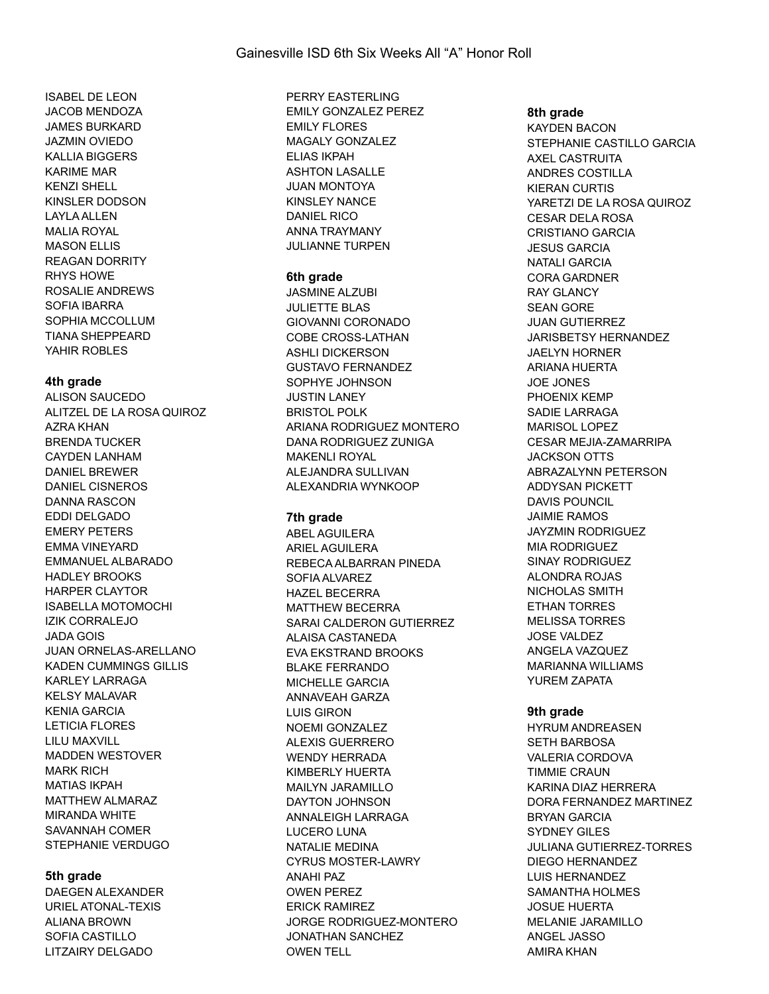ISABEL DE LEON JACOB MENDOZA JAMES BURKARD JAZMIN OVIEDO KALLIA BIGGERS KARIME MAR KENZI SHELL KINSLER DODSON LAYLA ALLEN MALIA ROYAL MASON FLLIS REAGAN DORRITY RHYS HOWE ROSALIE ANDREWS SOFIA IBARRA SOPHIA MCCOLLUM TIANA SHEPPEARD YAHIR ROBLES

## **4th grade**

ALISON SAUCEDO ALITZEL DE LA ROSA QUIROZ AZRA KHAN BRENDA TUCKER CAYDEN LANHAM DANIEL BREWER DANIEL CISNEROS DANNA RASCON EDDI DELGADO EMERY PETERS EMMA VINEYARD EMMANUEL ALBARADO HADLEY BROOKS HARPER CLAYTOR ISABELLA MOTOMOCHI IZIK CORRALEJO JADA GOIS JUAN ORNELAS-ARELLANO KADEN CUMMINGS GILLIS KARLEY LARRAGA KELSY MALAVAR KENIA GARCIA LETICIA FLORES LILU MAXVILL MADDEN WESTOVER MARK RICH MATIAS IKPAH MATTHEW ALMARAZ MIRANDA WHITE SAVANNAH COMER STEPHANIE VERDUGO

# **5th grade**

DAEGEN ALEXANDER URIEL ATONAL-TEXIS ALIANA BROWN SOFIA CASTILLO LITZAIRY DELGADO

PERRY EASTERLING EMILY GONZALEZ PEREZ EMILY FLORES MAGALY GONZALEZ ELIAS IKPAH ASHTON LASALLE JUAN MONTOYA KINSLEY NANCE DANIEL RICO ANNA TRAYMANY JULIANNE TURPEN

## **6th grade**

JASMINE ALZUBI JULIETTE BLAS GIOVANNI CORONADO COBE CROSS-LATHAN ASHLI DICKERSON GUSTAVO FERNANDEZ SOPHYE JOHNSON JUSTIN LANEY BRISTOL POLK ARIANA RODRIGUEZ MONTERO DANA RODRIGUEZ ZUNIGA MAKENLI ROYAL ALEJANDRA SULLIVAN ALEXANDRIA WYNKOOP

## **7th grade**

ABEL AGUILERA ARIEL AGUILERA REBECA ALBARRAN PINEDA SOFIA ALVAREZ HAZEL BECERRA MATTHEW BECERRA SARAI CALDERON GUTIERREZ ALAISA CASTANEDA EVA EKSTRAND BROOKS BLAKE FERRANDO MICHELLE GARCIA ANNAVEAH GARZA LUIS GIRON NOEMI GONZALEZ ALEXIS GUERRERO WENDY HERRADA KIMBERLY HUERTA MAILYN JARAMILLO DAYTON JOHNSON ANNALEIGH LARRAGA LUCERO LUNA NATALIE MEDINA CYRUS MOSTER-LAWRY ANAHI PAZ OWEN PEREZ ERICK RAMIREZ JORGE RODRIGUEZ-MONTERO JONATHAN SANCHEZ OWEN TELL

### **8th grade**

KAYDEN BACON STEPHANIE CASTILLO GARCIA AXEL CASTRUITA ANDRES COSTILLA KIERAN CURTIS YARETZI DE LA ROSA QUIROZ CESAR DELA ROSA CRISTIANO GARCIA JESUS GARCIA NATALI GARCIA CORA GARDNER RAY GLANCY SEAN GORE JUAN GUTIERREZ JARISBETSY HERNANDEZ JAELYN HORNER ARIANA HUERTA JOE JONES PHOENIX KEMP SADIE LARRAGA MARISOL LOPEZ CESAR MEJIA-ZAMARRIPA JACKSON OTTS ABRAZALYNN PETERSON ADDYSAN PICKETT DAVIS POUNCIL JAIMIE RAMOS JAYZMIN RODRIGUEZ MIA RODRIGUEZ SINAY RODRIGUEZ ALONDRA ROJAS NICHOLAS SMITH ETHAN TORRES MELISSA TORRES JOSE VALDEZ ANGELA VAZQUEZ MARIANNA WILLIAMS YUREM ZAPATA **9th grade** HYRUM ANDREASEN SETH BARBOSA

VALERIA CORDOVA TIMMIE CRAUN KARINA DIAZ HERRERA DORA FERNANDEZ MARTINEZ BRYAN GARCIA SYDNEY GILES JULIANA GUTIERREZ-TORRES DIEGO HERNANDEZ LUIS HERNANDEZ SAMANTHA HOLMES JOSUE HUERTA MELANIE JARAMILLO ANGEL JASSO AMIRA KHAN